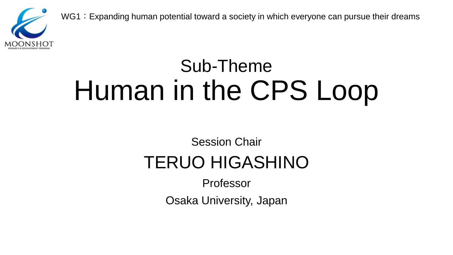

WG1: Expanding human potential toward a society in which everyone can pursue their dreams

## Sub-Theme Human in the CPS Loop

#### Session Chair TERUO HIGASHINO

Professor

Osaka University, Japan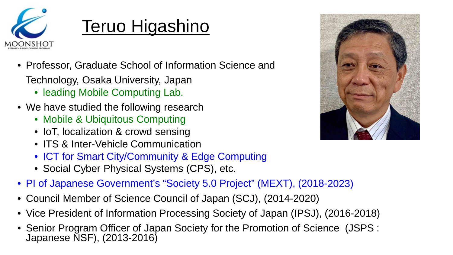

#### Teruo Higashino

- Professor, Graduate School of Information Science and
	- Technology, Osaka University, Japan
		- leading Mobile Computing Lab.
- We have studied the following research
	- Mobile & Ubiquitous Computing
	- IoT, localization & crowd sensing
	- ITS & Inter-Vehicle Communication
	- ICT for Smart City/Community & Edge Computing
	- Social Cyber Physical Systems (CPS), etc.
- PI of Japanese Government's "Society 5.0 Project" (MEXT), (2018-2023)
- Council Member of Science Council of Japan (SCJ), (2014-2020)
- Vice President of Information Processing Society of Japan (IPSJ), (2016-2018)
- Senior Program Officer of Japan Society for the Promotion of Science (JSPS : Japanese NSF), (2013-2016)

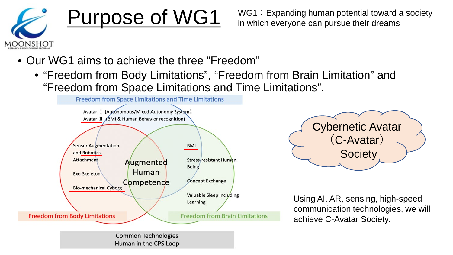

**Purpose of WG1** WG1: Expanding human potential toward a society in which everyone can pursue their dreams in which everyone can pursue their dreams

- Our WG1 aims to achieve the three "Freedom"
	- "Freedom from Body Limitations", "Freedom from Brain Limitation" and "Freedom from Space Limitations and Time Limitations".



Human in the CPS Loop



Using AI, AR, sensing, high-speed communication technologies, we will achieve C-Avatar Society.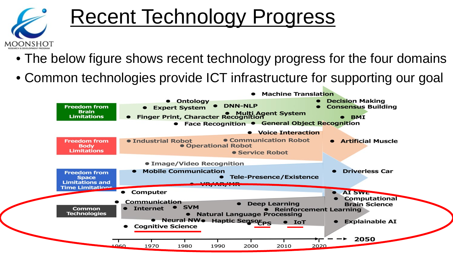

## Recent Technology Progress

- The below figure shows recent technology progress for the four domains
- Common technologies provide ICT infrastructure for supporting our goal

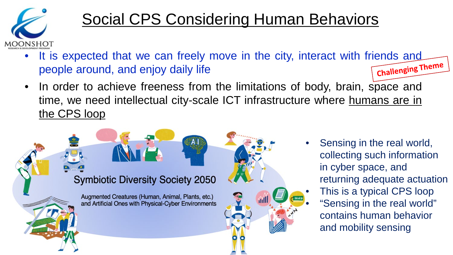

#### Social CPS Considering Human Behaviors

- It is expected that we can freely move in the city, interact with friends and people around, and enjoy daily life people around, and enjoy daily life
- In order to achieve freeness from the limitations of body, brain, space and time, we need intellectual city-scale ICT infrastructure where humans are in the CPS loop



• Sensing in the real world, collecting such information in cyber space, and returning adequate actuation This is a typical CPS loop • "Sensing in the real world" contains human behavior and mobility sensing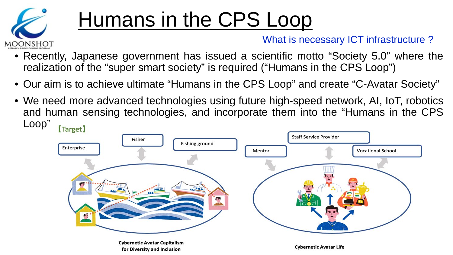

## Humans in the CPS Loop

#### What is necessary ICT infrastructure ?

- Recently, Japanese government has issued a scientific motto "Society 5.0" where the realization of the "super smart society" is required ("Humans in the CPS Loop")
- Our aim is to achieve ultimate "Humans in the CPS Loop" and create "C-Avatar Society"
- We need more advanced technologies using future high-speed network, AI, IoT, robotics and human sensing technologies, and incorporate them into the "Humans in the CPS Loop" [Target]

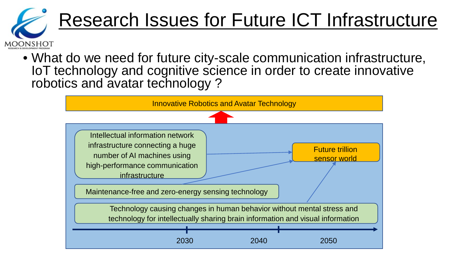

• What do we need for future city-scale communication infrastructure, IoT technology and cognitive science in order to create innovative robotics and avatar technology?

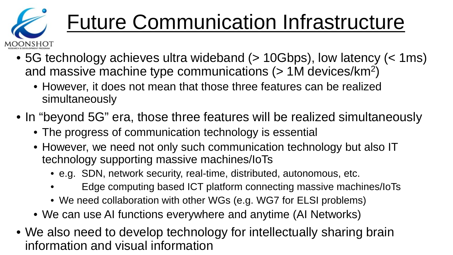

## Future Communication Infrastructure

- 5G technology achieves ultra wideband (> 10Gbps), low latency (< 1ms) and massive machine type communications (> 1M devices/km2)
	- However, it does not mean that those three features can be realized simultaneously
- In "beyond 5G" era, those three features will be realized simultaneously
	- The progress of communication technology is essential
	- However, we need not only such communication technology but also IT technology supporting massive machines/IoTs
		- e.g. SDN, network security, real-time, distributed, autonomous, etc.
		- Edge computing based ICT platform connecting massive machines/IoTs
		- We need collaboration with other WGs (e.g. WG7 for ELSI problems)
	- We can use AI functions everywhere and anytime (AI Networks)
- We also need to develop technology for intellectually sharing brain information and visual information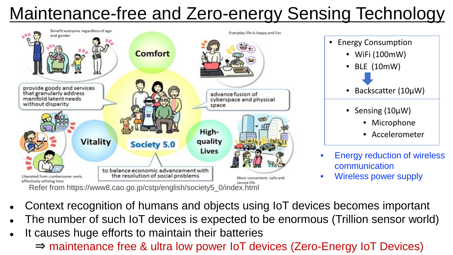## Maintenance-free and Zero-energy Sensing Technology



• Energy Consumption • WiFi (100mW) • BLE (10mW) • Backscatter (10μW) • Sensing (10μW)

- Microphone
- Accelerometer
- **Energy reduction of wireless** communication
- Wireless power supply

Refer from https://www8.cao.go.jp/cstp/english/society5\_0/index.html

- Context recognition of humans and objects using IoT devices becomes important
- The number of such IoT devices is expected to be enormous (Trillion sensor world)
- It causes huge efforts to maintain their batteries
	- ⇒ maintenance free & ultra low power IoT devices (Zero-Energy IoT Devices)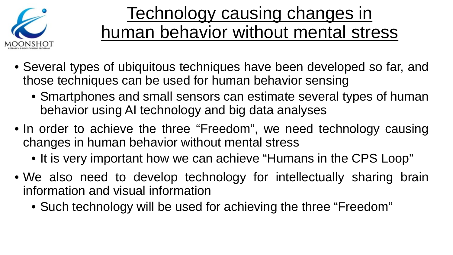

#### Technology causing changes in human behavior without mental stress

- Several types of ubiquitous techniques have been developed so far, and those techniques can be used for human behavior sensing
	- Smartphones and small sensors can estimate several types of human behavior using AI technology and big data analyses
- In order to achieve the three "Freedom", we need technology causing changes in human behavior without mental stress
	- It is very important how we can achieve "Humans in the CPS Loop"
- We also need to develop technology for intellectually sharing brain information and visual information
	- Such technology will be used for achieving the three "Freedom"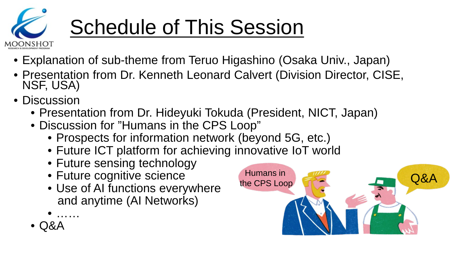

## Schedule of This Session

- Explanation of sub-theme from Teruo Higashino (Osaka Univ., Japan)
- Presentation from Dr. Kenneth Leonard Calvert (Division Director, CISE, NSF, USA)
- Discussion
	- Presentation from Dr. Hideyuki Tokuda (President, NICT, Japan)
	- Discussion for "Humans in the CPS Loop"
		- Prospects for information network (beyond 5G, etc.)
		- Future ICT platform for achieving innovative IoT world
		- Future sensing technology
		- Future cognitive science
		- Use of AI functions everywhere and anytime (AI Networks)
		- ……
	- Q&A

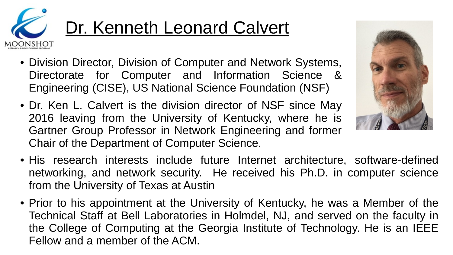

- Division Director, Division of Computer and Network Systems, Directorate for Computer and Information Science & Engineering (CISE), US National Science Foundation (NSF)
- Dr. Ken L. Calvert is the division director of NSF since May 2016 leaving from the University of Kentucky, where he is Gartner Group Professor in Network Engineering and former Chair of the Department of Computer Science.
- His research interests include future Internet architecture, software-defined networking, and network security. He received his Ph.D. in computer science from the University of Texas at Austin
- Prior to his appointment at the University of Kentucky, he was a Member of the Technical Staff at Bell Laboratories in Holmdel, NJ, and served on the faculty in the College of Computing at the Georgia Institute of Technology. He is an IEEE Fellow and a member of the ACM.

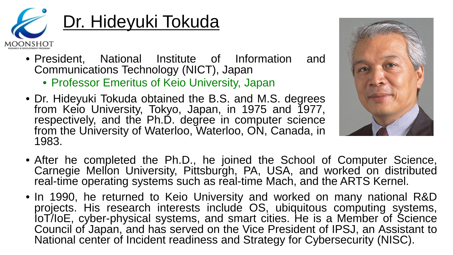

### Dr. Hideyuki Tokuda

- President, National Institute of Information and Communications Technology (NICT), Japan
	- Professor Emeritus of Keio University, Japan
- Dr. Hideyuki Tokuda obtained the B.S. and M.S. degrees from Keio University, Tokyo, Japan, in 1975 and 1977, respectively, and the Ph.D. degree in computer science from the University of Waterloo, Waterloo, ON, Canada, in 1983.



- After he completed the Ph.D., he joined the School of Computer Science, Carnegie Mellon University, Pittsburgh, PA, USA, and worked on distributed real-time operating systems such as real-time Mach, and the ARTS Kernel.
- In 1990, he returned to Keio University and worked on many national R&D loT/IoE, cyber-physical systems, and smart cities. He is a Member of Science Council of Japan, and has served on the Vice President of IPSJ, an Assistant to National center of Incident readiness and Strategy for Cybersecurity (NISC).